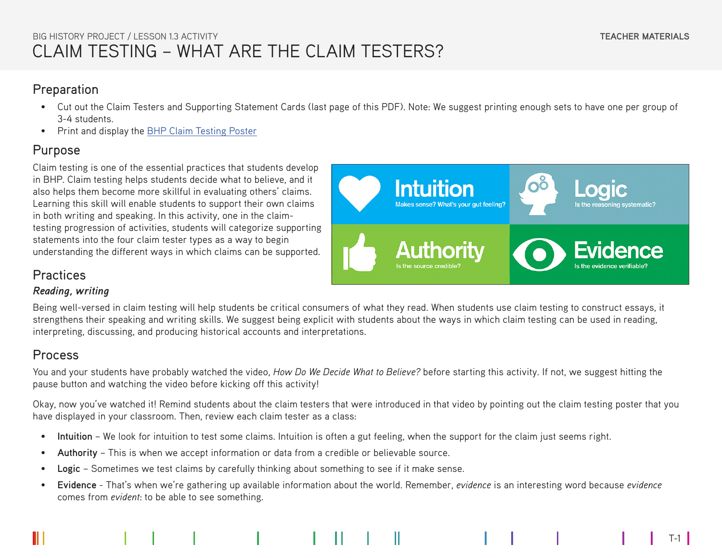## CLAIM TESTING – WHAT ARE THE CLAIM TESTERS? BIG HISTORY PROJECT / LESSON 1.3 ACTIVITY

#### **Preparation**

- Cut out the Claim Testers and Supporting Statement Cards (last page of this PDF). Note: We suggest printing enough sets to have one per group of 3-4 students.
- Print and display the [BHP Claim Testing Poster](https://school.bighistoryproject.com/pages/-/media/B87667585CB042009C22EB3A3752C56B.ashx)

## Purpose

Claim testing is one of the essential practices that students develop in BHP. Claim testing helps students decide what to believe, and it also helps them become more skillful in evaluating others' claims. Learning this skill will enable students to support their own claims in both writing and speaking. In this activity, one in the claimtesting progression of activities, students will categorize supporting statements into the four claim tester types as a way to begin understanding the different ways in which claims can be supported.



#### Practices

#### *Reading, writing*

Being well-versed in claim testing will help students be critical consumers of what they read. When students use claim testing to construct essays, it strengthens their speaking and writing skills. We suggest being explicit with students about the ways in which claim testing can be used in reading, interpreting, discussing, and producing historical accounts and interpretations.

## Process

You and your students have probably watched the video, *How Do We Decide What to Believe?* before starting this activity. If not, we suggest hitting the pause button and watching the video before kicking off this activity!

Okay, now you've watched it! Remind students about the claim testers that were introduced in that video by pointing out the claim testing poster that you have displayed in your classroom. Then, review each claim tester as a class:

- **Intuition** We look for intuition to test some claims. Intuition is often a gut feeling, when the support for the claim just seems right.
- **Authority** This is when we accept information or data from a credible or believable source.
- **Logic** Sometimes we test claims by carefully thinking about something to see if it make sense.
- **Evidence** That's when we're gathering up available information about the world. Remember, *evidence* is an interesting word because *evidence* comes from *evident*: to be able to see something.

T-1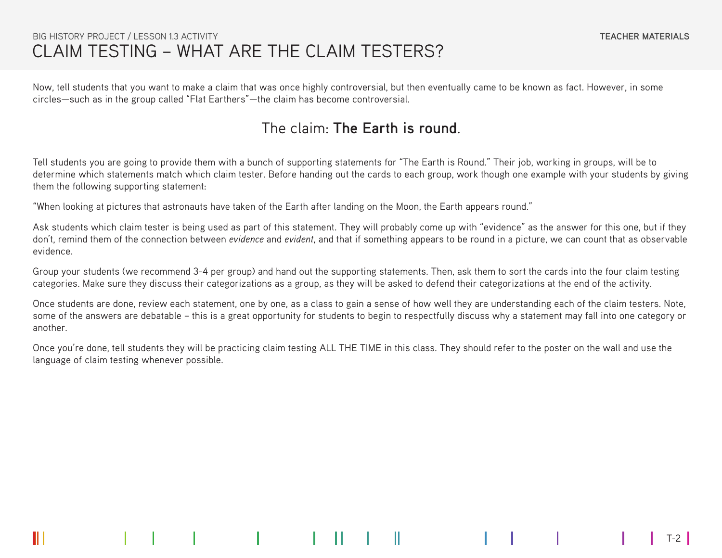#### CLAIM TESTING – WHAT ARE THE CLAIM TESTERS? BIG HISTORY PROJECT / LESSON 1.3 ACTIVITY

T-2

Now, tell students that you want to make a claim that was once highly controversial, but then eventually came to be known as fact. However, in some circles—such as in the group called "Flat Earthers"—the claim has become controversial.

## The claim: **The Earth is round**.

Tell students you are going to provide them with a bunch of supporting statements for "The Earth is Round." Their job, working in groups, will be to determine which statements match which claim tester. Before handing out the cards to each group, work though one example with your students by giving them the following supporting statement:

"When looking at pictures that astronauts have taken of the Earth after landing on the Moon, the Earth appears round."

Ask students which claim tester is being used as part of this statement. They will probably come up with "evidence" as the answer for this one, but if they don't, remind them of the connection between *evidence* and *evident*, and that if something appears to be round in a picture, we can count that as observable evidence.

Group your students (we recommend 3-4 per group) and hand out the supporting statements. Then, ask them to sort the cards into the four claim testing categories. Make sure they discuss their categorizations as a group, as they will be asked to defend their categorizations at the end of the activity.

Once students are done, review each statement, one by one, as a class to gain a sense of how well they are understanding each of the claim testers. Note, some of the answers are debatable – this is a great opportunity for students to begin to respectfully discuss why a statement may fall into one category or another.

Once you're done, tell students they will be practicing claim testing ALL THE TIME in this class. They should refer to the poster on the wall and use the language of claim testing whenever possible.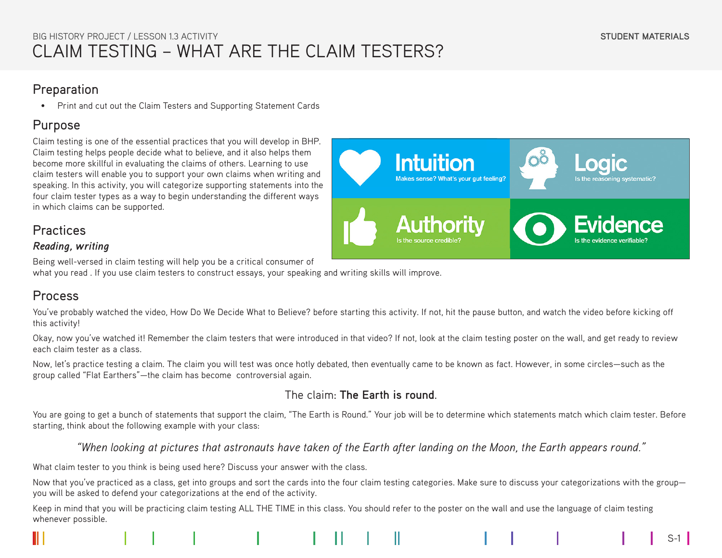#### **Preparation**

• Print and cut out the Claim Testers and Supporting Statement Cards

## Purpose

Claim testing is one of the essential practices that you will develop in BHP. Claim testing helps people decide what to believe, and it also helps them become more skillful in evaluating the claims of others. Learning to use claim testers will enable you to support your own claims when writing and speaking. In this activity, you will categorize supporting statements into the four claim tester types as a way to begin understanding the different ways in which claims can be supported.

# **Intuition** Makes sense? What's your gut feeling? Is the reasoning systematic? **Authority**

## Practices

#### *Reading, writing*

Being well-versed in claim testing will help you be a critical consumer of

what you read . If you use claim testers to construct essays, your speaking and writing skills will improve.

## Process

You've probably watched the video, How Do We Decide What to Believe? before starting this activity. If not, hit the pause button, and watch the video before kicking off this activity!

Okay, now you've watched it! Remember the claim testers that were introduced in that video? If not, look at the claim testing poster on the wall, and get ready to review each claim tester as a class.

Now, let's practice testing a claim. The claim you will test was once hotly debated, then eventually came to be known as fact. However, in some circles—such as the group called "Flat Earthers"—the claim has become controversial again.

#### The claim: **The Earth is round**.

You are going to get a bunch of statements that support the claim, "The Earth is Round." Your job will be to determine which statements match which claim tester. Before starting, think about the following example with your class:

*"When looking at pictures that astronauts have taken of the Earth after landing on the Moon, the Earth appears round."*

What claim tester to you think is being used here? Discuss your answer with the class.

Now that you've practiced as a class, get into groups and sort the cards into the four claim testing categories. Make sure to discuss your categorizations with the group you will be asked to defend your categorizations at the end of the activity.

Keep in mind that you will be practicing claim testing ALL THE TIME in this class. You should refer to the poster on the wall and use the language of claim testing whenever possible.

 $S-1$